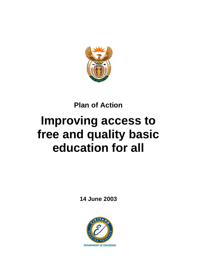

# **Plan of Action**

# **Improving access to free and quality basic education for all**

**14 June 2003**

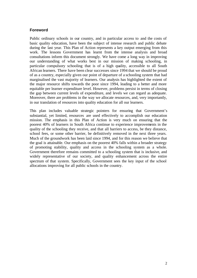## **Foreword**

Public ordinary schools in our country, and in particular access to and the costs of basic quality education, have been the subject of intense research and public debate during the last year. This Plan of Action represents a key output emerging from this work. The lessons Government has learnt from the intense analysis and broad consultations inform this document strongly. We have come a long way in improving our understanding of what works best in our mission of making schooling, in particular compulsory schooling that is of a high quality, accessible to all South African learners. There have been clear successes since 1994 that we should be proud of as a country, especially given our point of departure of a schooling system that had marginalised the vast majority of learners. Our analysis has highlighted the extent of the major resource shifts towards the poor since 1994, leading to a better and more equitable per learner expenditure level. However, problems persist in terms of closing the gap between current levels of expenditure, and levels we can regard as adequate. Moreover, there are problems in the way we allocate resources, and, very importantly, in our translation of resources into quality education for all our learners.

This plan includes valuable strategic pointers for ensuring that Government's substantial, yet limited, resources are used effectively to accomplish our education mission. The emphasis in this Plan of Action is very much on ensuring that the poorest 40% of learners in South Africa continue to experience improvements in the quality of the schooling they receive, and that all barriers to access, be they distance, school fees, or some other barrier, be definitively removed in the next three years. Much of the groundwork has been laid since 1994, and for this reason we believe that the goal is attainable. Our emphasis on the poorest 40% falls within a broader strategy of promoting stability, quality and access in the schooling system as a whole. Government therefore remains committed to a schooling system that is inclusive, and widely representative of our society, and quality enhancement across the entire spectrum of that system. Specifically, Government sees the key input of the school allocations improving for all public schools in the country.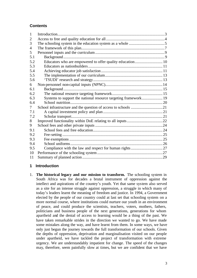# **Contents**

| 1              |                                                                 |  |
|----------------|-----------------------------------------------------------------|--|
| 2              |                                                                 |  |
| 3              |                                                                 |  |
| $\overline{4}$ |                                                                 |  |
| 5              |                                                                 |  |
| 5.1            |                                                                 |  |
| 5.2            | Educators who are empowered to offer quality education 10       |  |
| 5.3            |                                                                 |  |
| 5.4            |                                                                 |  |
| 5.5            |                                                                 |  |
| 5.6            |                                                                 |  |
| 6              |                                                                 |  |
| 6.1            |                                                                 |  |
| 6.2            |                                                                 |  |
| 6.3            | Systems to support the national resource targeting framework 19 |  |
| 6.4            |                                                                 |  |
| 7              |                                                                 |  |
| 7.1            |                                                                 |  |
| 7.2            |                                                                 |  |
| 8              |                                                                 |  |
| 9              |                                                                 |  |
| 9.1            |                                                                 |  |
| 9.2            |                                                                 |  |
| 9.3            |                                                                 |  |
| 9.4            |                                                                 |  |
| 9.5            |                                                                 |  |
| 10             |                                                                 |  |
| 11             |                                                                 |  |

# **1 Introduction**

1. **The historical legacy and our mission to transform.** The schooling system in South Africa was for decades a brutal instrument of oppression against the intellect and aspirations of the country's youth. Yet that same system also served as a site for an intense struggle against oppression, a struggle in which many of today's leaders learnt the meaning of freedom and justice. In 1994, a Government elected by the people of our country could at last set that schooling system on a more normal course, where institutions could nurture our youth in an environment of peace, and could produce the scientists, teachers, voters, mothers, fathers, politicians and business people of the next generations, generations for whom apartheid and the denial of access to learning would be a thing of the past. We have taken remarkable strides in the direction we wanted to go. We have made some mistakes along the way, and have learnt from them. In some ways, we have only just begun the journey towards the full transformation of our schools. Given the depths of oppression, deprivation and marginalisation visited on our people under apartheid, we have tackled the project of transformation with extreme urgency. We are understandably impatient for change. The speed of the changes may, therefore, seem painfully slow at times, but we are confident that we have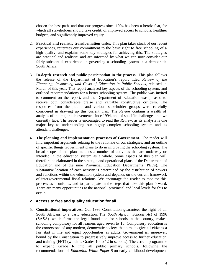chosen the best path, and that our progress since 1994 has been a heroic feat, for which all stakeholders should take credit, of improved access to schools, healthier budgets, and significantly improved equity.

- 2. **Practical and realistic transformation tasks.** This plan takes stock of our recent experiences, reiterates our commitment to the basic right to free schooling of a high quality, and explains some key strategies for achieving this. The strategies are practical and realistic, and are informed by what we can now consider our fairly substantial experience in governing a schooling system in a democratic South Africa.
- 3. **In-depth research and public participation in the process.** This plan follows the release of the Department of Education's report titled *Review of the Financing, Resourcing and Costs of Education in Public Schools*, released in March of this year. That report analysed key aspects of the schooling system, and outlined recommendations for a better schooling system. The public was invited to comment on the report, and the Department of Education was pleased to receive both considerable praise and valuable constructive criticism. The responses from the public and various stakeholder groups were carefully considered in drawing up this current plan. The *Review* contains a wealth of analysis of the major achievements since 1994, and of specific challenges that we currently face. The reader is encouraged to read the *Review,* as its analysis is one major key to understanding our highly complex schooling system and its attendant challenges.
- 4. **The planning and implementation processes of Government.** The reader will find important arguments relating to the rationale of our strategies, and an outline of specific things Government plans to do in improving the schooling system. The broad scope of this plan includes a number of activities that are underway or intended in the education system as a whole. Some aspects of this plan will therefore be elaborated in the strategic and operational plans of the Department of Education and of the nine Provincial Education Departments (PEDs). The substantive location of each activity is determined by the distribution of powers and functions within the education system and depends on the current framework of intergovernmental fiscal relations. We encourage the reader to monitor this process as it unfolds, and to participate in the steps that take this plan forward. There are many opportunities at the national, provincial and local levels for this to occur.

#### **2 Access to free and quality education for all**

5. **Constitutional imperatives.** Our 1996 Constitution guarantees the right of all South Africans to a basic education. The *South African Schools Act* of 1996 (SASA), which forms the legal foundation for schools in the country, makes schooling compulsory for all learners aged seven to 15. Compulsory education is the cornerstone of any modern, democratic society that aims to give all citizens a fair start in life and equal opportunities as adults. Government is, moreover, bound by the Constitution to progressively improve access to further education and training (FET) (which is Grades 10 to 12 in schools). The current programme to expand Grade R into all public primary schools, following the recommendations of *Education White Paper 5* on early childhood development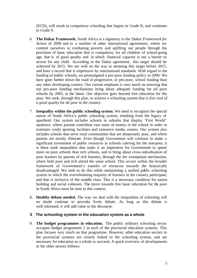(ECD), will result in compulsory schooling that begins in Grade R, and continues to Grade 9.

- 6. **The Dakar Framework.** South Africa is a signatory to the *Dakar Framework for Action* of 2000 and to a number of other international agreements, where we commit ourselves to combating poverty and uplifting our people through the provision of basic education that is compulsory for all children of school-going age, that is of good quality and in which financial capacity is not a barrier to access for any child. According to the Dakar agreement, this target should be achieved by 2015. We are well on the way to attaining this target before 2015, and have a record that is impressive by international standards. With regard to the funding of public schools, we promulgated a pro-poor funding policy in 2000. We have gone further down the road of progressive, or pro-poor, school funding than any other developing country. Our current emphasis is very much on ensuring that our pro-poor funding mechanisms bring about adequate funding for *all* poor schools by 2005, at the latest. Our objective goes beyond free education for the poor. We seek, through this plan, to achieve a schooling system that is *free and of a good quality* for all poor in the country.
- 7. **Inequality within the public schooling system.** We need to recognise the special nature of South Africa's public schooling system, resulting from the legacy of apartheid. Our system includes schools in suburbs that display 'First World' opulence, where parents contribute vast sums of money to the school in order to maintain costly sporting facilities and extensive media centres. Our system also includes schools that serve rural communities that are desperately poor, and where parents are mostly illiterate. Even though Government will continue to make a significant investment of public resources in schools catering for the non-poor, it is these stark inequalities that make it an imperative for Government to spend more on poor schools than rich schools, and to bring about cross-subsidisation of poor learners by parents of rich learners, through the fee exemptions mechanism, where both poor and rich attend the same school. This occurs within the broader framework of Government's transfer of resources towards the historically disadvantaged. We seek to do this while maintaining a unified public schooling system in which the overwhelming majority of learners in the country participate, and that is inclusive of the middle class. This is a necessary condition for nation building and social cohesion. The move towards free basic education for the poor in South Africa must be seen in this context.
- 8. **Healthy debate needed.** The way we deal with the inequalities of schooling will no doubt continue to provoke lively debate. As long as this debate is well informed, it will add value to the discourse.

#### **3 The schooling system in the education system as a whole**

9. **The budget programmes in education.** The public ordinary schooling sector occupies budget programme 2 in each of the provincial education systems. This plan focuses very much on that programme. However, other education sectors in the provincial systems are closely linked to the schooling system, and are necessary for education as a whole to succeed. A quick overview of developments in the other sectors follows: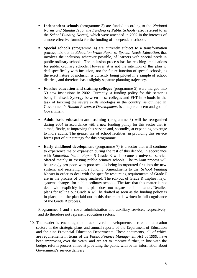- **Independent schools** (programme 3) are funded according to the *National Norms and Standards for the Funding of Public Schools* (also referred to as the *School Funding Norms*), which were amended in 2002 in the interests of a more effective formula for the funding of independent schools.
- ß **Special schools** (programme 4) are currently subject to a transformation process, laid out in *Education White Paper 6: Special Needs Education*, that involves the inclusion, wherever possible, of learners with special needs in public ordinary schools. The inclusion process has far-reaching implications for public ordinary schools. However, it is not the intention of this plan to deal specifically with inclusion, nor the future function of special schools, as the exact nature of inclusion is currently being piloted in a sample of school districts, and therefore has a slightly separate planning trajectory.
- **Further education and training colleges** (programme 5) were merged into 50 new institutions in 2002. Currently, a funding policy for this sector is being finalised. Synergy between these colleges and FET in schools in the task of tackling the severe skills shortages in the country, as outlined in Government's *Human Resource Development,* is a major concern and goal of Government.
- ß **Adult basic education and training** (programme 6) will be reorganised during 2004 in accordance with a new funding policy for this sector that is aimed, firstly, at improving this service and, secondly, at expanding coverage to more adults. The greater use of school facilities in providing this service forms part of our strategy for this programme.
- **Early childhood development** (programme 7) is a sector that will continue to experience major expansion during the rest of this decade. In accordance with *Education White Paper 5*, Grade R will become a universal service offered mainly in existing public primary schools. The roll-out process will be strongly pro-poor, with poor schools being incorporated first into the new system, and receiving more funding. Amendments to the *School Funding Norms* in order to deal with the specific resourcing requirements of Grade R are in the process of being finalised. The roll-out of Grade R implies major systems changes for public ordinary schools. The fact that this matter is not dealt with explicitly in this plan does not negate its importance. Detailed plans for rolling out Grade R will be drafted as soon as the funding policy is in place, and the plan laid out in this document is written in full cognisance of the Grade R process.

Programmes 1 and 8 cover administration and auxiliary services, respectively, and do therefore not represent education sectors.

10. The reader is encouraged to track overall developments across all education sectors in the strategic plans and annual reports of the Department of Education and the nine Provincial Education Departments. These documents, all of which are requirements in terms of the *Public Finance Management Act* of 1999, have been improving over the years, and are set to improve further, in line with the budget reform process aimed at providing the public with better information about Government's service delivery.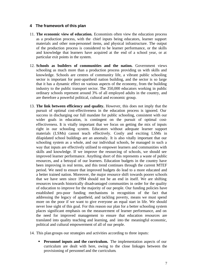#### **4 The framework of this plan**

- 11. **The economic view of education.** Economists often view the education process as a production process, with the chief inputs being educators, learner support materials and other non-personnel items, and physical infrastructure. The output of the production process is considered to be learner performance, or the skills and knowledge that learners have acquired at the end of a school year, or at particular exit points in the system.
- 12. **Schools as builders of communities and the nation.** Government views schooling as much more than a production process providing us with skills and knowledge. Schools are centres of community life, a vibrant public schooling sector is important for post-apartheid nation building, and the sector is so large that it has a dynamic effect on various aspects of the economy, from the building industry to the public transport sector. The 350,000 educators working in public ordinary schools represent around 3% of all employed adults in the country, and are therefore a powerful political, cultural and economic group.
- 13. **The link between efficiency and quality.** However, this does not imply that the pursuit of optimal cost-effectiveness in the education process is ignored. Our success in discharging our full mandate for public schooling, consistent with our wider goals in education, is contingent on the pursuit of optimal costeffectiveness. It is vitally important that we focus on getting the mix of inputs right in our schooling system. Educators without adequate learner support materials (LSMs) cannot teach effectively. Costly and exciting LSMs in dilapidated school buildings are an anomaly. It is also vitally important that our schooling system as a whole, and our individual schools, be managed in such a way that inputs are effectively utilised to empower learners and communities with skills and knowledge. If we improve the resourcing of schools, we should see improved learner performance. Anything short of this represents a waste of public resources, and a betrayal of our learners. Education budgets in the country have been improving in real terms, and this trend continues through the current MTEF period. We need to ensure that improved budgets do lead to a more educated and a better trained nation. Moreover, the major resource shift towards poorer schools that we have seen since 1994 should not be an end in itself. We are shifting resources towards historically disadvantaged communities in order for the quality of education to improve for the majority of our people. Our funding policies have established pro-poor funding mechanisms in recognition of the fact that addressing the legacy of apartheid, and tackling poverty, means we must spend more on the poor if we want to give everyone an equal start in life. We should never lose sight of this goal. For this reason our plan for a better schooling system places significant emphasis on the measurement of learner performance, and on the need for improved management to ensure that education resources are translated into quality teaching and learning, and into the meaningful economic, political and cultural empowerment of all of our people.
- 14. This plan groups our strategies and activities according to three inputs:
	- **Personnel inputs and the curriculum.** The implementation aspects of our curriculum are dealt with here, owing to the close linkages between the provisioning of personnel and the curriculum.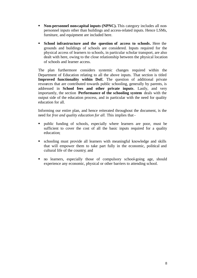- **Non-personnel non-capital inputs (NPNC).** This category includes all nonpersonnel inputs other than buildings and access-related inputs. Hence LSMs, furniture, and equipment are included here.
- **School infrastructure and the question of access to schools.** Here the grounds and buildings of schools are considered. Inputs required for the physical access of learners to schools, in particular scholar transport, are also dealt with here, owing to the close relationship between the physical location of schools and learner access.

The plan furthermore considers systemic changes required within the Department of Education relating to all the above inputs. That section is titled **Improved functionality within DoE**. The question of additional private resources that are contributed towards public schooling, generally by parents, is addressed in **School fees and other private inputs**. Lastly, and very importantly, the section **Performance of the schooling system** deals with the output side of the education process, and in particular with the need for quality education for all.

Informing our entire plan, and hence reiterated throughout the document, is the need for *free and quality education for all.* This implies that -

- public funding of schools, especially where learners are poor, must be sufficient to cover the cost of all the basic inputs required for a quality education;
- **•** schooling must provide all learners with meaningful knowledge and skills that will empower them to take part fully in the economic, political and cultural life of the country; and
- no learners, especially those of compulsory school-going age, should experience any economic, physical or other barriers to attending school.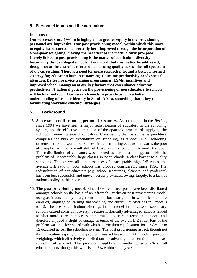#### **5 Personnel inputs and the curriculum**

#### **In a nutshell**

**Our successes since 1994 in bringing about greater equity in the provisioning of personnel are impressive. Our post provisioning model, within which this move to equity has occurred, has recently been improved through the incorporation of a pro-poor weighting, making the net effect of the model clearly pro-poor. Closely linked to post provisioning is the matter of curriculum diversity in historically disadvantaged schools. It is crucial that this matter be addressed, though not at the cost of our focus on enhancing quality across the full spectrum of the curriculum. There is a need for more research into, and a better informed strategy for, education human resourcing. Educator productivity needs special attention. Better in-service training programmes, LSMs, incentives and improved school management are key factors that can enhance educator productivity. A national policy on the provisioning of non-educators to schools will be finalised soon. Our research needs to provide us with a better understanding of teacher identity in South Africa, something that is key to formulating workable educator strategies.**

#### **5.1 Background**

- 15. **Successes in redistributing personnel resources.** As pointed out in the *Review*, since 1994 we have seen a major redistribution of educators in the schooling system, and the effective elimination of the apartheid practice of supplying the rich with more state-paid educators. Considering that personnel expenditure comprises the bulk of expenditure on schooling, as it does in all schooling systems across the world, our success in redistributing educators towards the poor also implies a major overall shift of Government expenditure towards the poor. The redistribution of educators was pursued as part of a strategy to tackle the problem of unacceptably large classes in poor schools, a clear barrier to quality schooling. Though we still find instances of unacceptably high L:E ratios, the average L:E ratio in poor schools has dropped considerably since 1996. The redistribution of non-educators (e.g. school secretaries, cleaners and gardeners) has been less successful, and uneven across provinces, owing, largely, to a lack of national policy in this regard.
- 16. **The post provisioning model.** Since 1998, educator posts have been distributed amongst schools on the basis of an affordability-driven post provisioning model using as inputs mainly straight enrolment, but also grade in which learners are enrolled, language of learning and teaching, and curriculum offerings in Grades 8 to 12. The use of curriculum offerings in the model in the case of secondary schools caused some controversy, because historically advantaged schools tended to offer more scarce subjects, such as music and certain technical subjects, and therefore enjoyed a slight advantage in terms of the overall L:E ratio. Part of the problem was the slow speed with which curriculum equalisation for Grades 10 to 12 occurred across the schooling system. The post provisioning aspect, though not the curriculum aspect, of the problem was addressed in 2002 with a pro-poor weighting, which effectively cancelled out the advantage that certain middle class schools had enjoyed. The pro-poor weighting currently governs 2% of all educator posts, though this will rise to 5% within some years.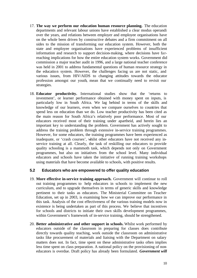- 17. **The way we perform our education human resource planning.** The education departments and relevant labour unions have established a clear modus operandi over the years, and relations between employer and employee organisations have on the whole been driven by constructive debates and a firm commitment on all sides to the mission of transforming our education system. However, both the state and employee organisations have experienced problems of insufficient information and research to support decision-making, where decisions have farreaching implications for how the entire education system works. Government did commission a major teacher audit in 1996, and a large national teacher conference was held in 2001 to address fundamental questions of human resource strategy in the education system. However, the challenges facing us are not static, and various issues, from HIV/AIDS to changing attitudes towards the educator profession amongst our youth, mean that we continually need to revisit our strategies.
- 18. **Educator productivity.** International studies show that the 'returns to investment', or learner performance obtained with money spent on inputs, is particularly low in South Africa. We lag behind in terms of the skills and knowledge of our learners, even when we compare ourselves to countries that spend less on education than we do. Low teacher productivity has been cited as the main reason for South Africa's relatively poor performance. Most of our educators received most of their training under apartheid, and herein lies an important key to understanding the problem. Government has actively sought to address the training problem through extensive in-service training programmes. However, for some educators, the training programmes have been experienced as inadequate, or 'crash courses', whilst other educators have not received any inservice training at all. Clearly, the task of reskilling our educators to provide quality schooling is a mammoth task, which depends not only on Government programmes, but also on initiatives from the school level. Many individual educators and schools have taken the initiative of running training workshops using materials that have become available to schools, with positive results.

#### **5.2 Educators who are empowered to offer quality education**

- 19. **More effective in-service training approach.** Government will continue to roll out training programmes to help educators in schools to implement the new curriculum, and to upgrade themselves in terms of generic skills and knowledge pertinent to their tasks as educators. The Ministerial Committee on Teacher Education, set up in 2003, is examining how we can improve our performance in this task. Analysis of the cost effectiveness of the various training models now in existence is being undertaken as part of this process. We believe that incentives for schools and districts to initiate their own skills development programmes, within Government's framework of in-service training, should be strengthened.
- 20. **Better administrative and other support in schools.** Whilst work performed by educators outside of the classroom in preparing for classes does contribute directly towards quality teaching, work outside the classroom on administrative tasks like procurement of materials and liaising with the Department on salary matters does not. In fact, time spent on these administrative tasks often implies less time spent on class preparation. A national policy on the provisioning of noneducators is overdue. Draft policy has already been formulated. *Government will*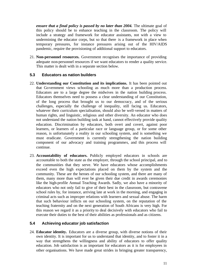*ensure that a final policy is passed by no later than 2004.* The ultimate goal of this policy should be to enhance teaching in the classroom. The policy will include a strategy and framework for educator assistants, not with a view to undermining the educator corps, but so that there is a framework in place when temporary pressures, for instance pressures arising out of the HIV/AIDS pandemic, require the provisioning of additional support to educators.

21. **Non-personnel resources.** Government recognises the importance of providing adequate non-personnel resources if we want educators to render a quality service. This matter is dealt with in a separate section below.

#### **5.3 Educators as nation builders**

- 22. **Understanding our Constitution and its implications.** It has been pointed out that Government views schooling as much more than a production process. Educators are to a large degree the midwives in the nation building process. Educators themselves need to possess a clear understanding of our Constitution, of the long process that brought us to our democracy, and of the serious challenges, especially the challenge of inequality, still facing us. Educators, whatever their curriculum specialisation, should also be well-versed in matters of human rights, and linguistic, religious and other diversity. An educator who does not understand the nation building task at hand, cannot effectively provide quality education. Discrimination by educators, both overt and covert, against poor learners, or learners of a particular race or language group, or for some other reason, is unfortunately a reality in our schooling system, and is something we must eradicate. Government is currently strengthening the nation building component of our advocacy and training programmes, and this process will continue.
- 23. **Accountability of educators.** Publicly employed educators in schools are accountable to both the state as the employer, through the school principal, and to the communities that they serve. We have educators whose accomplishments exceed even the high expectations placed on them by the system and the community. These are the heroes of our schooling system, and there are many of them, many more than will ever be given their due credit in awards ceremonies like the high-profile Annual Teaching Awards. Sadly, we also have a minority of educators who not only fail to give of their best in the classroom, but contravene school rules by, for instance, arriving late at work in the morning, and engaging in criminal acts such as improper relations with learners and sexual abuse. The harm that such behaviour inflicts on our schooling system, on the reputation of the teaching fraternity and on the next generation of South Africans is very high. For this reason we regard it as a priority to deal decisively with educators who fail to execute their duties to the best of their abilities as professionals and as citizens.

#### **5.4 Achieving educator job satisfaction**

24. **Educator identity.** Educators are a diverse group, with diverse notions of their own identity. It is important for us to understand that identity, and to foster it in a way that strengthens the willingness and ability of educators to offer quality education. Job satisfaction is as important for educators as it is for employees in other organisations. We have made great strides in bringing greater transparency,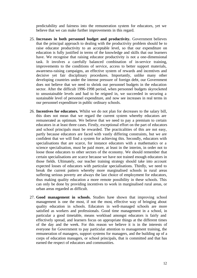predictability and fairness into the remuneration system for educators, yet we believe that we can make further improvements in this regard.

- 25. **Increases in both personnel budget and productivity.** Government believes that the principal approach to dealing with the productivity problem should be to raise educator productivity to an acceptable level, so that our expenditure on education is fully justified in terms of the knowledge and skills that our learners have. We recognise that raising educator productivity is not a one-dimensional task. It involves a carefully balanced combination of in-service training, improvements to the conditions of service, access to better support materials, awareness-raising campaigns, an effective system of rewards and incentives and decisive yet fair disciplinary procedures. Importantly, unlike many other developing countries under the intense pressure of foreign debt, our Government does not believe that we need to shrink our personnel budgets in the education sector. After the difficult 1996-1998 period, when personnel budgets skyrocketed to unsustainable levels and had to be reigned in, we succeeded in securing a sustainable level of personnel expenditure, and now see increases in real terms in our personnel expenditure in public ordinary schools.
- 26. **Incentives for educators.** Whilst we do not plan for decreases to the salary bill, this does not mean that we regard the current system whereby educators are remunerated as optimum. We believe that we need to pay a premium to certain educators in at least three cases. Firstly, exceptional effort on the part of educators and school principals must be rewarded. The practicalities of this are not easy, partly because educators are faced with vastly differing constraints, but we are confident that we will find a system for achieving this. Secondly, educators with specialisations that are scarce, for instance educators with a mathematics or a science specialisation, must be paid more, at least in the interim, in order not to loose those educators to other sectors of the economy. We should remember that certain specialisations are scarce because we have not trained enough educators in those fields. Ultimately, our teacher training strategy should take into account expected losses of educators with particular specialisations. Thirdly, we need to break the current pattern whereby more marginalised schools in rural areas suffering serious poverty are always the last choice of employment for educators, thus making quality education a more remote possibility in these schools. This can only be done by providing incentives to work in marginalised rural areas, or urban areas regarded as difficult.
- 27. **Good management in schools.** Studies have shown that improving school management is one the most, if not the most, effective way of bringing about quality education in schools. Educators in well-managed schools are more satisfied as workers and professionals. Good time management in a school, in particular a good timetable, means workload amongst educators is fairly and effectively spread, and learners focus on appropriate things at the different times of the day and the week. For this reason we believe it is in the interests of everyone for Government to pay particular attention to management training, the remuneration of managers, support systems for managers, and the building up of a corps of education managers, or school principals, that is committed and that has earned the respect of educators and communities.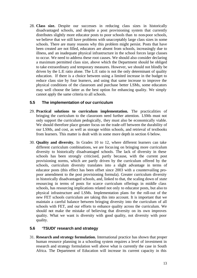28. **Class size.** Despite our successes in reducing class sizes in historically disadvantaged schools, and despite a post provisioning system that currently distributes slightly more educator posts to poor schools than to non-poor schools, we believe that we still have problems with unacceptably large class sizes in some schools. There are many reasons why this problem might persist. Posts that have been created are not filled, educators are absent from schools, increasingly due to illness, and an inadequate physical infrastructure in the school forces large classes to occur. We need to address these root causes. We should also consider declaring a maximum permitted class size, above which the Department should be obliged to take extraordinary and temporary measures. However, we should not blindly be driven by the L:E ratio alone. The L:E ratio is not the only determinant of quality education. If there is a choice between using a limited increase in the budget to reduce class size by four learners, and using that same increase to improve the physical conditions of the classroom and purchase better LSMs, some educators may well choose the latter as the best option for enhancing quality. We simply cannot apply the same criteria to all schools.

#### **5.5 The implementation of our curriculum**

- 29. **Practical solutions to curriculum implementation.** The practicalities of bringing the curriculum to the classroom need further attention. LSMs must not only support the curriculum pedogically, they must also be economically viable. We should therefore place greater focus on the trade-off between the durability of our LSMs, and cost, as well as storage within schools, and retrieval of textbooks from learners. This matter is dealt with in some more depth in section 6 below.
- 30. **Quality and diversity.** In Grades 10 to 12, where different learners can take different curriculum combinations, we are focusing on bringing more curriculum diversity to historically disadvantaged schools. The lack of diversity in these schools has been strongly criticised, partly because, with the current post provisioning norms, which are partly driven by the curriculum offered by the schools, curriculum diversity translates into a slight advantage in terms of educator posts (this effect has been offset since 2003 with a countervailing propoor amendment to the post provisioning formula). Greater curriculum diversity in historically disadvantaged schools, and, linked to that, the scaling down of *state*  resourcing in terms of posts for scarce curriculum offerings in middle class schools, has resourcing implications related not only to educator posts, but also to physical infrastructure and LSMs. Implementation plans for the roll-out of the new FET schools curriculum are taking this into account. It is important that we maintain a careful balance between bringing diversity into the curriculum of all schools with FET, and our efforts to enhance quality across the curriculum. We should not make the mistake of believing that diversity on its own improves quality. What we want is diversity with good quality, not diversity with poor quality.

#### **5.6 'TSUDI' research and strategy**

31. **Research and strategy formulation.** International practice has shown that proper human resource planning in a schooling system requires a level of investment in research and strategy formulation well above what is currently the case in South Africa. The Department of Education will increase its current capacity in this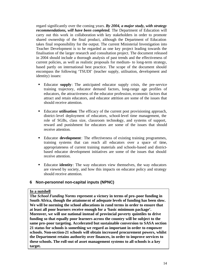regard significantly over the coming years. *By 2004, a major study, with strategy recommendations, will have been completed.* The Department of Education will carry out this work in collaboration with key stakeholders in order to promote shared ownership of the final product, although the Department of Education takes final responsibility for the output. The current Ministerial Investigation into Teacher Development is to be regarded as one key project leading towards the finalisation of the larger research and consultation project. The document released in 2004 should include a thorough analysis of past trends and the effectiveness of current policies, as well as realistic proposals for medium- to long-term strategy, based partly on international best practice. The scope of the document should encompass the following 'TSUDI' (teacher supply, utilisation, development and identity) issues:

- ß Educator **supply**: The anticipated educator supply crisis, the pre-service training trajectory, educator demand factors, long-range age profiles of educators, the attractiveness of the educator profession, economic factors that attract and retain educators, and educator attrition are some of the issues that should receive attention.
- Educator **utilisation**: The efficacy of the current post provisioning approach, district-level deployment of educators, school-level time management, the role of SGBs, class size, classroom technology, and systems of support, reward and punishment for educators are some of the issues that should receive attention.
- Educator **development**: The effectiveness of existing training programmes, training systems that can reach all educators over a space of time, appropriateness of current training materials and schools-based and districtbased educator development initiatives are some of the issues that should receive attention.
- Educator **identity**: The way educators view themselves, the way educators are viewed by society, and how this impacts on educator policy and strategy should receive attention.

#### **6 Non-personnel non-capital inputs (NPNC)**

#### **In a nutshell**

**The** *School Funding Norms* **represent a victory in terms of pro-poor funding in South Africa, though the attainment of adequate levels of funding has been slow. We will be norming the school allocations in rand terms in order to ensure that at least all poor learners receive enough for a 'basic minimum package'. Moreover, we will use national instead of provincial poverty quintiles to drive funding so that equally poor learners across the country will be subject to the same pro-poor targeting. Accelerated but sustainable conversion to SASA section 21 status for schools is something we regard as important in order to empower schools. Non-section-21 schools will obtain increased procurement powers, whilst the Department retains authority over finances, in order to improve services to these schools. The roll-out of asset management systems to all schools is a key target.**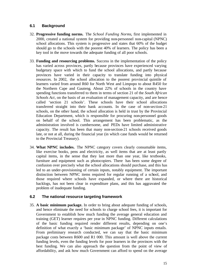### **6.1 Background**

- 32. **Progressive funding norms.** The *School Funding Norms*, first implemented in 2000, created a national system for providing non-personnel non-capital (NPNC) school allocations. This system is progressive and states that 60% of the budget should go to the schools with the poorest 40% of learners. The policy has been a key tool in the move towards the adequate funding of all poor schools.
- 33. **Funding and resourcing problems.** Success in the implementation of the policy has varied across provinces, partly because provinces have experienced varying budgetary space with which to fund the school allocations, and partly because provinces have varied in their capacity to translate funding into physical resources. In 2002, the school allocation to the poorest provincial quintile of learners varied from around R60 for North West and Limpopo to about R450 for the Northern Cape and Gauteng. About 22% of schools in the country have spending functions transferred to them in terms of section 21 of the *South African Schools Act*, on the basis of an evaluation of management capacity, and are hence called 'section 21 schools'. These schools have their school allocations transferred straight into their bank accounts. In the case of non-section-21 schools, on the other hand, the school allocation is held in trust by the Provincial Education Department, which is responsible for procuring non-personnel goods on behalf of the school. This arrangement has been problematic, as the administration involved is cumbersome, and PEDs have limited administrative capacity. The result has been that many non-section-21 schools received goods late, or not at all, during the financial year (in which case funds would be returned to the Provincial Treasury).
- 34. **What NPNC includes.** The NPNC category covers clearly consumable items, like exercise books, pens and electricity, as well items that are at least partly capital items, in the sense that they last more than one year, like textbooks, furniture and equipment such as photocopiers. There has been some degree of confusion over precisely what the school allocations should purchase, and this has led to an under-provisioning of certain inputs, notably equipment. The important distinction between NPNC items required for regular running of a school, and those required where schools have expanded, or where there are historical backlogs, has not been clear in expenditure plans, and this has aggravated the problem of inadequate funding.

#### **6.2 The national resource targeting framework**

35. **A basic minimum package.** In order to bring about adequate funding of schools, and hence eliminate the need for schools to charge school fees, it is important for Government to establish how much funding the average general education and training (GET) learner requires per year in NPNC funding. Different calculations of the basic funding required render different results, depending on one's definition of what exactly a 'basic minimum package' of NPNC inputs entails. From preliminary research conducted, we can say that the basic minimum package costs between R600 and R1 000. This amount is well above the current funding levels, even the funding levels for poor learners in the provinces with the best funding. We can also approach the question from the point of view of affordability, and ask how much Government can afford to spend on the average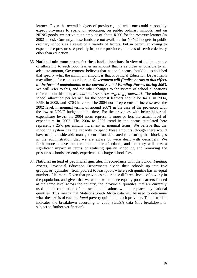learner. Given the overall budgets of provinces, and what one could reasonably expect provinces to spend on education, on public ordinary schools, and on NPNC goods, we arrive at an amount of about R500 for the *average* learner (in 2002 rands). Currently, these funds are not available for NPNC budgets in public ordinary schools as a result of a variety of factors, but in particular owing to expenditure pressures, especially in poorer provinces, in areas of service delivery other than education.

- 36. **National minimum norms for the school allocations.** In view of the importance of allocating to each poor learner an amount that is as close as possible to an adequate amount, Government believes that national norms should be established that specify what the minimum amount is that Provincial Education Departments may allocate for each poor learner. *Government will finalise norms to this effect, in the form of amendments to the current School Funding Norms, during 2003.*  We will refer to this, and the other changes to the system of school allocations referred to in this plan, as a *national resource targeting framework.* The minimum school allocation per learner for the poorest learners should be R450 in 2004, R563 in 2005, and R703 in 2006. The 2004 norm represents an increase over the 2002 level, in nominal terms, of around 200% in the case of the provinces with the lowest NPNC budgets at the time. For the provinces with better historical expenditure levels, the 2004 norm represents more or less the actual level of expenditure in 2002. The 2004 to 2006 trend in the norms stipulated here represent a 25% per annum increment in nominal terms. We believe that the schooling system has the capacity to spend these amounts, though there would have to be considerable management effort dedicated to ensuring that blockages in the administration that we are aware of were dealt with decisively. We furthermore believe that the amounts are affordable, and that they will have a significant impact in terms of realising quality schooling and removing the pressures schools presently experience to charge school fees.
- 37. **National instead of provincial quintiles.** In accordance with the *School Funding Norms,* Provincial Education Departments divide their schools up into five groups, or 'quintiles', from poorest to least poor, where each quintile has an equal number of learners. Given that provinces experience different levels of poverty in the population, and given that we would want to see equally poor learners funded at the same level across the country, the provincial quintiles that are currently used in the calculation of the school allocations will be replaced by national quintiles. This means that Statistics South Africa data will be used to determine what the size is of each *national* poverty quintile in each province. The next table indicates the breakdown according to 2000 StatsSA data (this breakdown is subject to further verification).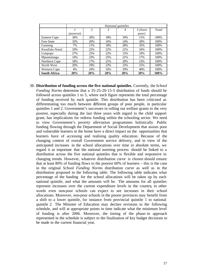|                     | National quintiles |                |     |     |               |       |
|---------------------|--------------------|----------------|-----|-----|---------------|-------|
|                     |                    | $\overline{c}$ | 3   | 4   | 5 (least      | Total |
|                     | <i>(poorest)</i>   |                |     |     | <i>poor</i> ) |       |
| Eastern Cape        | 34%                | 26%            | 18% | 10% | 11%           | 100%  |
| <b>Free State</b>   | 33%                | 20%            | 16% | 14% | 18%           | 100%  |
| Gauteng             | 7%                 | 11%            | 18% | 28% | 35%           | 100%  |
| KwaZulu-Natal       | 19%                | 22%            | 22% | 21% | 16%           | 100%  |
| Limpopo             | 27%                | 25%            | 22% | 15% | 10%           | 100%  |
| Mpumalanga          | 14%                | 23%            | 25% | 21% | 17%           | 100%  |
| Northern Cape       | 18%                | 17%            | 21% | 20% | 23%           | 100%  |
| North West          | 20%                | 19%            | 23% | 23% | 15%           | 100%  |
| Western Cape        | 4%                 | 10%            | 16% | 29% | 40%           | 100%  |
| <b>South Africa</b> | 20%                | 20%            | 20% | 20% | 20%           | 100%  |

38. **Distribution of funding across the five national quintiles.** Currently, the *School Funding Norms* determine that a 35-25-20-15-5 distribution of funds should be followed across quintiles 1 to 5, where each figure represents the total percentage of funding received by each quintile. This distribution has been criticised as differentiating too much between different groups of poor people, in particular quintiles 1 and 2. Government's successes in rolling out welfare grants to the very poorest, especially during the last three years with regard to the child support grant, has implications for redress funding within the schooling sector. We need to view Government's poverty alleviation programmes holistically. Public funding flowing through the Department of Social Development that assists poor and vulnerable learners in the home have a direct impact on the opportunities that learners have of accessing and realising quality education. Because of the changing context of overall Government service delivery, and in view of the anticipated increases in the school allocations over time in absolute terms, we regard it as important that the national norming process should be linked to a distribution across the five national quintiles that is flexible and responsive to changing trends. However, whatever distribution curve is chosen should ensure that at least 80% of funding flows to the poorest 60% of learners – this is the case in the original *School Funding Norms* distribution curve as well as in the distribution proposed in the following table. The following table indicates what percentage of the funding for the school allocations will be taken up by each national quintile, and what the amounts will be. The amounts for all quintiles represent increases over the current expenditure levels in the country, in other words even non-poor schools can expect to see increases in their school allocations. Moreover, non-poor schools in the poorer provinces may benefit from a shift to a lower quintile, for instance from provincial quintile 1 to national quintile 2. The Minister of Education may declare revisions to the following schedule, and will at appropriate points in time indicate what the minimum level of funding is after 2006. Moreover, the timing of the phase-in approach represented in the schedule is subject to the finalisation of key budget decisions to be made in the current financial year.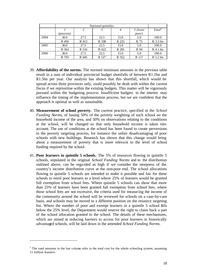|      | National quintiles |       |       |                |          |            |
|------|--------------------|-------|-------|----------------|----------|------------|
|      |                    | 2     |       | $\overline{4}$ | 5 (least | Total      |
|      | (poorest)          |       |       |                | poor)    |            |
| 2004 | 30.0               | 27.5  | 22.5  | 15.0           | 5.0      | 100.0      |
|      | R 450              | R 413 | R 338 | R 225          | R 75     | R 3.3 bn   |
| 2005 | 30.0               | 27.5  | 22.5  | 15.0           | 5.0      | 100.0      |
|      | R 563              | R 516 | R 422 | R 281          | R 94     | $R$ 4.1 bn |
| 2006 | 30.0               | 27.5  | 22.5  | 15.0           | 5.0      | 100.0      |
|      | R 703              | R 645 | R 527 | R 352          | R 117    | R 5.2 bn   |

- 39. **Affordability of the norms.** The normed minimum amounts in the previous table result in a sum of individual provincial budget shortfalls of between R1.1bn and R1.5bn per year. Our analysis has shown that this shortfall, which would be spread across three provinces only, could possibly be dealt with within the current fiscus if we reprioritise within the existing budgets. This matter will be vigorously pursued within the budgeting process. Insufficient budgets in the interim may influence the timing of the implementation process, but we are confident that the approach is optimal as well as sustainable.
- 40. **Measurement of school poverty.** The current practice, specified in the *School Funding Norms*, of basing 50% of the poverty weighting of each school on the household income of the area, and 50% on observations relating to the conditions at the school, will be changed so that only household income is taken into account. The use of conditions at the school has been found to create perversions in the poverty targeting process, for instance the unfair disadvantaging of poor schools with new buildings. Research has shown that this change would bring about a measurement of poverty that is more relevant to the level of school funding required by the school.
- 41. **Poor learners in quintile 5 schools.** The 5% of resources flowing to quintile 5 schools, stipulated in the original *School Funding Norms* and in the distribution outlined above, can be rega rded as high if we consider the steepness of the country's income distribution curve at the non-poor end. The school allocations flowing to quintile 5 schools are intended to make it possible and fair for these schools to enrol poor learners to a level where 25% of learners would be granted full exemption from school fees. Where quintile 5 schools can show that more than 25% of learners have been granted full exemption from school fees, where those school fees are not excessive, the criteria used for measuring the income of the community around the school will be reviewed for schools on a case-by-case basis, and schools may be moved to a different position on the resource targeting list. Where the number of poor and exempt learners in a quintile 5 school falls below the 25% level, the Department would reserve the right to claim back a part of the school allocation granted to the school. The details of these mechanisms, which are aimed at reducing barriers to access for poor learners in historically advantaged schools, will be laid down in the amended *School Funding Norms.*

l

 $<sup>1</sup>$  The rand amounts in the last column refer to the total cost for the whole schooling system, assuming</sup> 11 million learners.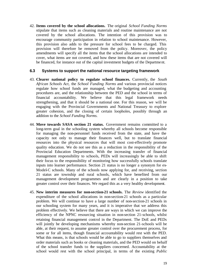42. **Items covered by the school allocations.** The original *School Funding Norms*  stipulate that items such as cleaning materials and routine maintenance are not covered by the school allocations. The intention of this provision was to encourage community participation in relation to school maintenance. However, this provision also adds to the pressure for school fees to be charged. This provision will therefore be removed from the policy. Moreover, the policy amendments will specify all the items that the school allocations are intended to cover, what items are not covered, and how these items that are not covered will be financed, for instance out of the capital investment budgets of the Department.

#### **6.3 Systems to support the national resource targeting framework**

- 43. **Clearer national policy to regulate school finances.** Currently, the *South African Schools Act,* the *School Funding Norms* and various provincial notices regulate how school funds are managed, what the budgeting and accounting procedures are, and the relationship between the PED and the school in terms of financial accountability. We believe that this legal framework needs strengthening, and that it should be a national one. For this reason, we will be engaging with the Provincial Governments and National Treasury to explore greater cohesion, and the closing of certain loopholes, possibly through an addition to the *School Funding Norms.*
- 44. **Move towards SASA section 21 status.** Government remains committed to a long-term goal in the schooling system whereby all schools become responsible for managing the non-personnel funds received from the state, and have the capacity not only to manage their finances well, but to translate financial resources into the physical resources that will most cost-effectively promote quality education. We do not see this as a reduction in the responsibility of the Provincial Education Departments. With the increasing transfer of financial management responsibility to schools, PEDs will increasingly be able to shift their focus to the responsibility of monitoring how successfully schools translate inputs into learner performance. Section 21 status is no longer a synonym for ex-Model-C schools. Many of the schools now applying for, and receiving, section 21 status are township and rural schools, which have benefited from our management development programmes and are clearly in a position to take greater control over their finances. We regard this as a very healthy development.
- 45. **New interim measures for non-section-21 schools.** The *Review* identified the expenditure of the school allocations in non-section-21 schools as a particular problem. We will continue to have a large number of non-section-21 schools in our schooling system for many years, and it is imperative that we address this problem effectively. We believe that there are ways in which we can improve the efficiency of the NPNC resourcing situation in non-section 21-schools, whilst retaining financial management control in the Department. The DoE and PEDs will jointly be developing mechanisms whereby non-section 21-schools will be able, at their request, to assume greater control over the procurement process, for some or for all items, though financial accountability would rest with the PED. What this means, is that schools would be able to go to suppliers themselves and order materials such as books or cleaning materials, and the PED would on behalf of the school transfer funds to the suppliers concerned. Accountability at the school would rest with the school principal, in terms of the existing *Public*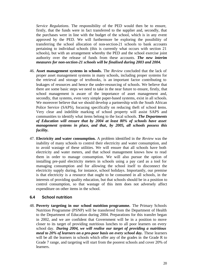*Service Regulations*. The responsibility of the PED would then be to ensure, firstly, that the funds were in fact transferred to the supplier and, secondly, that the purchases were in line with the budget of the school, which is in any event approved by the PED. We will furthermore be exploring the possibility of transferring the school allocation of non-section-21 schools to bank accounts pertaining to individual schools (this is currently what occurs with section 21 schools), but with an arrangement whereby the PED and the school exercise joint authority over the release of funds from these accounts. *The new interim measures for non-section-21 schools will be finalised during 2003 and 2004.*

- 46. **Asset management systems in schools.** The *Review* concluded that the lack of proper asset management systems in many schools, including proper systems for the retrieval and storage of textbooks, is an important factor contributing to leakages of resources and hence the under-resourcing of schools. We believe that there are some basic steps we need to take in the near future to ensure, firstly, that school management is aware of the importance of asset management and, secondly, that systems, even very simple paper-based systems, exist in all schools. We moreover believe that we should develop a partnership with the South African Police Service (SAPS), focusing specifically on reducing theft of school **i**tems. Very clear and indelible marking of school property will assist SAPS and communities to identify what items belong to the local schools. *The Departments of Education will ensure that by 2004 at least 80% of schools have asset management systems in place, and that, by 2005, all schools possess this facility.*
- 47. **Electricity and water consumption.** A problem identified in the *Review* was the inability of many schools to control their electricity and water consumption, and to avoid wastage of these utilities. We will ensure that all schools have both electricity and water meters, and that school management knows how to read them in order to manage consumption. We will also pursue the option of installing pre-paid electricity meters in schools using a pay card as a tool for managing consumption and for allowing the school itself to disconnect the electricity supply during, for instance, school holidays. Importantly, our premise is that electricity is a resource that ought to be consumed in all schools, in the interests of providing quality education, but that schools should be in a position to control consumption, so that wastage of this item does not adversely affect expenditure on other items in the school.

#### **6.4 School nutrition**

48. **Poverty targeting in our school nutrition programme.** The Primary Schools Nutrition Programme (PSNP) will be transferred from the Department of Health to the Department of Education during 2004. Preparations for this transfer began in 2002, and we are confident that Government will be in a position to move closer to its target of providing nutritious lunches to all poor learners on every school day. *During 2004, we will realise our target of providing a nutritious meal to 20% of learners on a pro-poor basis on every school day.* These learners will be all the learners in schools which offer any of the grades in the Grade R to Grade 7 range, and targeting will start from the poorest schools and cover 20% of learners.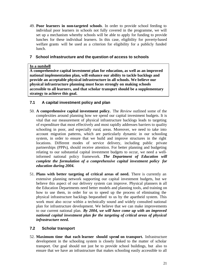49. **Poor learners in non-targeted schools**. In order to provide school feeding to individual poor learners in schools not fully covered in the programme, we will set up a mechanism whereby schools will be able to apply for funding to provide lunches for these individual learners. In this case, eligibility for poverty-based welfare grants will be used as a criterion for eligibility for a publicly funded lunch.

## **7 School infrastructure and the question of access to schools**

#### **In a nutshell**

**A comprehensive capital investment plan for education, as well as an improved national implementation plan, will enhance our ability to tackle backlogs and provide an acceptable physical infrastructure in all schools. We believe our physical infrastructure planning must focus strongly on making schools accessible to all learners, and that scholar transport should be a supplementary strategy to achieve this goal.**

# **7.1 A capital investment policy and plan**

- 50. **A comprehensive capital investment policy.** The *Review* outlined some of the complexities around planning how we spend our capital investment budgets. It is vital that our measurement of physical infrastructure backlogs leads to targeting of expenditure that most effectively and most rapidly addresses barriers to quality schooling in poor, and especially rural, areas. Moreover, we need to take into account migration patterns, which are particularly dynamic in our schooling system, in order to ensure that we build and improve structures in the right locations. Different modes of service delivery, including public private partnerships (PPPs), should receive attention. For better planning and budgeting relating to our substantial capital investment budgets to occur, we need a wellinformed national policy framework. *The Department of Education will complete the formulation of a comprehensive capital investment policy for education during 2004.*
- 51. **Plans with better targeting of critical areas of need.** There is currently an extensive planning network supporting our capital investment budgets, but we believe this aspect of our delivery system can improve. Physical planners in all the Education Departments need better models and planning tools, and training on how to use them, in order for us to speed up the process of eliminating the physical infrastructure backlogs bequeathed to us by the apartheid system. This work must also occur within a technically sound and widely consulted national plan for infrastructure development. We believe that we can make improvements to our current national plan. *By 2004, we will have come up with an improved national capital investment plan for the targeting of critical areas of physical infrastructure need.*

# **7.2 Scholar transport**

52. **Maximum time that each learner should spend on transport.** Infrastructure development in the schooling system is closely linked to the matter of scholar transport. Our goal should not just be to provide school buildings, but also to ensure that we have an infrastructure that makes schooling easily accessible to all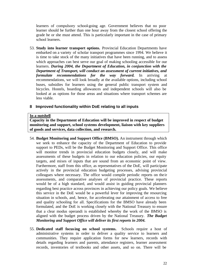learners of compulsory school-going age. Government believes that no poor learner should be further than one hour away from the closest school offering the grade he or she must attend. This is particularly important in the case of primary school learners.

53. **Study into learner transport options.** Provincial Education Departments have embarked on a variety of scholar transport programmes since 1994. We believe it is time to take stock of the many initiatives that have been running, and to assess which approaches can best serve our goal of making schooling accessible for our learners. *During 2004, the Department of Education, in conjunction with the Department of Transport, will conduct an assessment of current initiatives, and formulate recommendations for the way forward.* In arriving at recommendations, we will look broadly at the available options, including school buses, subsidies for learners using the general public transport system and bicycles. Hostels, boarding allowances and independent schools will also be looked at as options for those areas and situations where transport schemes are less viable.

#### **8 Improved functionality within DoE relating to all inputs**

#### **In a nutshell**

**Capacity in the Department of Education will be improved in respect of budget monitoring and support, school systems development, liaison with key suppliers of goods and services, data collection, and research.**

- 54. **Budget Monitoring and Support Office (BMSO).** An instrument through which we seek to enhance the capacity of the Department of Education to provide support to PEDs, will be the Budget Monitoring and Support Office. This office will monitor trends in provincial education budgets closely, and will make assessments of these budgets in relation to our education policies, our equity targets, and mixes of inputs that are sound from an economic point of view. Furthermore, staff from this office, as representatives of the DoE, will participate actively in the provincial education budgeting processes, advising provincial colleagues where necessary. The office would compile periodic reports on the ir assessments, and comparative analyses of provincial practice. These reports would be of a high standard, and would assist in guiding provincial planners regarding best practice across provinces in achieving our policy goals. We believe this service in the DoE would be a powerful lever for improving the resourcing situation in schools, and, hence, for accelerating our attainment of access to free and quality schooling for all. Specifications for the BMSO have already been formulated, and the DoE is working closely with the National Treasury to ensure that a clear modus operandi is established whereby the work of the BMSO is aligned with the budget process driven by the National Treasury. *The Budget Monitoring and Support Office will deliver its first reports in 2004.*
- 55. **Dedicated staff focusing on school systems.** Schools require a host of administrative systems in order to deliver a quality service to learners and communities. They require application forms for new learners, records with details regarding learners and parents, attendance registers, learner assessment records, inventories of textbooks and other assets, and so on. There will be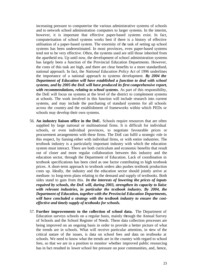increasing pressure to computerise the various administrative systems of schools and to network school administration computers to larger systems. In the interim, however, it is important that effective paper-based systems exist. In fact, computerisation of school systems works best if there is a history of effective utilisation of a paper-based system. The enormity of the task of setting up school systems has been underestimated. In most provinces, even paper-based systems tend not to be very effective. Often, the systems used are still those inherited from the apartheid era. Up until now, the development of school administration systems has largely been a function of the Provincial Education Departments. However, the costs of this task are high, and there are clear benefits to a more standardised, national approach. In fact, the *National Education Policy Act* of 1996 underlines the importance of a national approach to systems development. *By 2004 the Department of Education will have established a function to deal with school systems, and by 2005 the DoE will have produced its first comprehensive report, with recommendations, relating to school systems.* As part of this responsibility, the DoE will focus on systems at the level of the district to complement systems at schools. The work involved in this function will include research into current systems, and may include the purchasing of standard systems for all schools across the country and the establishment of frameworks within which PEDs or schools may develop their own systems.

- 56. **An industry liaison office in the DoE.** Schools require resources that are often supplied by large national or multinational firms. It is difficult for individual schools, or even individual provinces, to negotiate favourable prices or procurement arrangements with these firms. The DoE can fulfil a strategic role in this respect, by liaising either with individual firms, or with entire industries. The textbook industry is a particularly important industry with which the education system must interact. There are both curriculum and economic benefits that result out of closer and more regular collaboration between this industry and the education sector, through the Department of Education. Lack of coordination in textbook specifications has been cited as one factor contributing to high textbook prices. A short-term approach to textbook orders also pushes textbook production costs up. Ideally, the industry and the education sector should jointly arrive at medium- to long-term plans relating to the demand and supply of textbooks. Both sides stand to gain from this. *In the interests of lowering the prices of inputs required by schools, the DoE will, during 2003, strengthen its capacity to liaise with relevant industries, in particular the textbook industry. By 2004, the Department of Education, together with the Provincial Education Departments, will have concluded a strategy with the textbook industry to ensure the costeffective and timely supply of textbooks for schools.*
- 57. **Further improvements to the collection of school data.** The Department of Education surveys schools on a regular basis, mainly through the Annual Survey of Schools and the School Register of Needs. These data collection processes are being improved on an ongoing basis in order to provide a better picture of what the trends are in schools. What will receive particular attention, in view of the critical nature of the issues, is data on school fees and data on textbooks at schools. We need to know what the trends are in the country with regard to school fees, so that we are in a position to monitor whether improved public resourcing has in fact resulted in lower school fee pressure on poor communities, and, hence,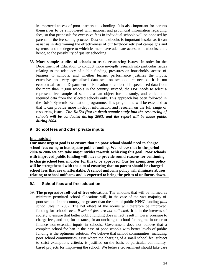in improved access of poor learners to schooling. It is also important for parents themselves to be empowered with national and provincial information regarding fees, so that proposals for excessive fees in individual schools will be opposed by parents in the fee-setting process. Data on textbooks is important insofar as it can assist us in determining the effectiveness of our textbook retrieval campaigns and systems, and the degree to which learners have adequate access to textbooks, and, hence, to the possibility of quality schooling.

- 58. **More sample studies of schools to track resourcing issues.** In order for the Department of Education to conduct more in-depth research into particular issues relating to the adequacy of public funding, pressures on households, access of learners to schools, and whether learner performance justifies the inputs, extensive and very specialised data sets on schools are needed. It is not economical for the Department of Education to collect this specialised data from the more than 25,000 schools in the country. Instead, the DoE needs to select a representative sample of schools as an object for the study, and collect the required data from the selected schools only. This approach has been followed in the DoE's Systemic Evaluation programme. This programme will be extended so that it can provide more in-depth information and research on the full range of resourcing issues. *The DoE's first in-depth sample study into the resourcing of schools will be conducted during 2003, and the report will be made public during 2004.*
- **9 School fees and other private inputs**

#### **In a nutshell**

**Our most urgent goal is to ensure that no poor school should need to charge school fees owing to inadequate public funding. We believe that in the period 2004 to 2006 we can take major strides towards achieving this goal. Poor schools with improved public funding will have to provide sound reasons for continuing to charge school fees, in order for this to be approved. Our fee exemptions policy will be strengthened with the aim of ensuring that no parent should be charged school fees that are unaffordable. A school uniforms policy will eliminate abuses relating to school uniforms and is expected to bring the prices of uniforms down.** 

#### **9.1 School fees and free education**

59. **The progressive roll-out of free education.** The amounts that will be normed as minimum permitted school allocations will, in the case of the vast majority of poor schools in the country, be greater than the sum of public NPNC funding *plus school fees* in 2002. The net effect of the norms will therefore be improved funding for schools *even if school fees are not collected.* It is in the interests of society to ensure that better public funding does in fact result in lower pressure to charge fees, and not, for instance, in an unchanged school fee regime in order to finance non-essential inputs in schools. Government does not believe that a complete school fee ban in the case of poor schools with better levels of public funding is the optimum solution. We believe that school communities, including poor school communities, exist where the charging of a small school fee, subject to strict exemptions criteria, is justified on the basis of particular communitybased projects for improving the school. We believe Government should take care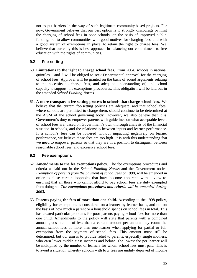not to put barriers in the way of such legitimate community-based projects. For now, Government believes that our best option is to strongly discourage or limit the charging of school fees in poor schools, on the basis of improved public funding, but to allow communities with good motives for charging fees, and with a good system of exemptions in place, to retain the right to charge fees. We believe that currently this is best approach in balancing our commitment to free education with the rights of communities.

# **9.2 Fee-setting**

- 60. **Limitations to the right to charge school fees.** From 2004, schools in national quintiles 1 and 2 will be obliged to seek Departmental approval for the charging of school fees. Approval will be granted on the basis of sound arguments relating to the necessity to charge fees, and adequate understanding of, and school capacity to support, the exemptions procedures. This obligatio n will be laid out in the amended *School Funding Norms.*
- 61. **A more transparent fee-setting process in schools that charge school fees.** We believe that the current fee-setting policies are adequate, and that school fees, where schools are permitted to charge them, should continue to be determined at the AGM of the school governing body. However, we also believe that it is Government's duty to empower parents with guidelines on what acceptable levels of school fees are, based on Government's own thorough analysis of the financial situation in schools, and the relationship between inputs and learner performance. If a school's fees can be lowered without impacting negatively on learner performance, we believe those fees are too high. It is with this understanding that we need to empower parents so that they are in a position to distinguish between reasonable school fees, and excessive school fees.

#### **9.3 Fee exemptions**

- 62. **Amendments to the fee exemptions policy.** The fee exemptions procedures and criteria as laid out in the *School Funding Norms* and the Government notice *Exemption of parents from the payment of school fees* of 1998, will be amended in order to close certain loopholes that have become apparent, with a view to ensuring that all those who cannot afford to pay school fees are duly exempted from doing so. *The exemptions procedures and criteria will be amended during 2003.*
- 63. **Parents paying the fees of more than one child.** According to the 1998 policy, eligibility for exemptions is considered on a learner-by-learner basis, and not on the basis of how much a parent or a household spends on school fees in total. This has created particular problems for poor parents paying school fees for more than one child. Amendments to the policy will state that parents with a combined annual gross income of less than a certain amount per annum may count the annual school fees of more than one learner when applying for partial or full exemption from the payment of school fees. This amount must still be determined, but our aim is to provide relief to parents, especially single mothers, who earn lower middle class incomes and below. The lowest fee per learner will be multiplied by the number of learners for whom school fees must paid. This is to avoid a situation whereby schools with low fees are unduly deprived of income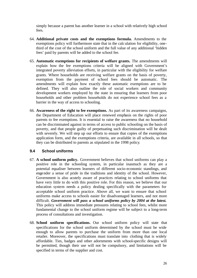simply because a parent has another learner in a school with relatively high school fees.

- 64. **Additional private costs and the exemptions formula.** Amendments to the exemptions policy will furthermore state that in the calculation for eligibility, onethird of the cost of the school uniform and the full value of any additional 'hidden fees' paid by parents will be added to the school fee.
- 65. **Automatic exemptions for recipients of welfare grants.** The amendments will explain how the fee exemptions criteria will be aligned with Government's integrated poverty alleviation efforts, in particular with the eligibility for welfare grants. Where households are receiving welfare grants on the basis of poverty, exemption from the payment of school fees should be automatic. The amendments will explain how exactly these automatic exemptions are to be defined. They will also outline the role of social workers and community development workers employed by the state in ensuring that learners from poor households and other problem households do not experience school fees as a barrier in the way of access to schooling.
- 66. **Awareness of the right to fee exemptions.** As part of its awareness campaigns, the Department of Education will place renewed emphasis on the rights of poor parents to fee exemptions. It is essential to raise the awareness that no household can be discriminated against in terms of access to public schooling on the basis of poverty, and that people guilty of perpetuating such discrimination will be dealt with severely. We will step up our efforts to ensure that copies of the exemptions application form, and the exemptions criteria, are available in all schools, so that they can be distributed to parents as stipulated in the 1998 policy.

#### **9.4 School uniforms**

- 67. **A school uniform policy.** Government believes that school uniforms can play a positive role in the schooling system, in particular inasmuch as they are a potential equaliser between learners of different socio-economic standings, and engender a sense of pride in the traditions and identity of the school. However, Government is also acutely aware of practices relating to school uniforms that have very little to do with this positive role. For this reason, we believe that our education system needs a policy dealing specifically with the parameters for acceptable school uniform practice. Above all, we want to ensure that school uniforms make access to schools easier for disadvantaged learners, and not more difficult. *Government will pass a school uniforms policy by 2004 at the latest.*  This policy will address immediate pressures relating to school fees, whilst more fundamental change to the school uniform regime will be subject to a long-term process of consultations and investigation.
- 68. **School uniform specifications.** Our school uniform policy will state that specifications for the school uniform determined by the school must be wide enough to allow parents to purchase the uniform from more than one local retailer. Moreover, the specifications must translate into clothing that is widely affordable. Ties, badges and other adornments with school-specific designs will be permitted, though their use will not be compulsory, and limitations will be specified in terms of the supplier and cost.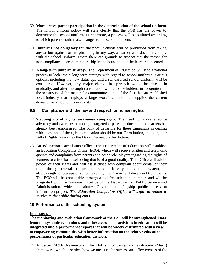- 69. **More active parent participation in the determination of the school uniform.**  The school uniform policy will state clearly that the SGB has the power to determine the school uniform. Furthermore, a process will be outlined according to which parents could make changes to the school uniform.
- 70. **Uniforms not obligatory for the poor.** Schools will be prohibited from taking any action against, or marginalising in any way, a learner who does not comply with the school uniform, where there are grounds to suspect that the reason for non-compliance is economic hardship in the household of the learner concerned.
- 71. **A long-term uniform strategy.** The Department of Education will lead a national process to look into a long-term strategy with regard to school uniforms. Various options, including the new status quo and a standardised school uniform, will be considered. However, any major change in approach would be phased in gradually, and after thorough consultation with all stakeholders, in recognition of the sensitivity of the matter for communities, and of the fact that an established local industry that employs a large workforce and that supplies the current demand for school uniforms exists.

#### **9.5 Compliance with the law and respect for human rights**

- 72. **Stepping up of rights awareness campaigns.** The need for more effective advocacy and awareness campaigns targeted at parents, educators and learners has already been emphasised. The point of departure for these campaigns in dealing with questions of the right to education should be our Constitution, including our Bill of Rights, as well as the Dakar Framework for Action.
- 73. **An Education Complaints Office.** The Department of Education will establish an Education Complaints Office (ECO), which will receive written and telephonic queries and complaints from parents and other role-players regarding the rights of learners to a free basic schooling that is of a good quality. This Office will advise people of their rights and will assist those who complain about denial of their rights through referral to appropriate service delivery points in the system, but also through follow-ups of action taken by the Provincial Education Departments. The ECO will be contactable through a toll-free telephone number, and will be integrated with the Gateway Initiative of the Department of Public Service and Administration, which constitutes Government's flagship public access to information project. *The Education Complaints Office will begin to render a service to the public during 2003.*

#### **10 Performance of the schooling system**

#### **In a nutshell**

**The monitoring and evaluation framework of the DoE will be strengthened. Data from the systemic evaluations and other assessment activities in education will be integrated into a performance report that will be widely distributed with a view to empowering communities with better information on the relative education performance of particular education districts.** 

74. **A better M&E framework.** The DoE's monitoring and evaluation (M&E) framework, which describes how we measure the success and effectiveness of the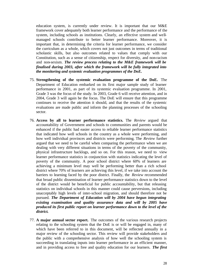education system, is currently under review. It is important that our M&E framework cover adequately both learner performance and the performance of the system, including schools as institutions. Clearly, an effective system and wellmanaged schools contribute to better learner performance. Moreover, it is important that, in determining the criteria for learner performance, we consider the curriculum as a whole, which covers not just outcomes in terms of traditional scholastic skills, but also outcomes related to values that comply with our Constitution, such as a sense of citizenship, respect for diversity, and non-racism and non-sexism. *The review process relating to the M&E framework will be finalised during 2003, after which the framework will be fully integrated into the monitoring and systemic evaluation programmes of the DoE.*

- 75. **Strengthening of the systemic evaluation programme of the DoE.** The Department of Education embarked on its first major sample study of learner performance in 2001, as part of its systemic evaluation programme. In 2001, Grade 3 was the focus of the study. In 2003, Grade 6 will receive attention, and in 2004, Grade 3 will again be the focus. The DoE will ensure that this programme continues to receive the attention it should, and that the results of the systemic evaluations are made public and inform the planning processes of the schooling sector.
- 76. **Access by all to learner performance statistics.** The *Review* argued that accountability of Government and schools to communities and parents would be enhanced if the public had easier access to reliable learner performance statistics that indicated how well schools in the country as a whole were performing, and how well individual provinces and districts were performing. The *Review* further argued that we need to be careful when comparing the performance when we are dealing with very different situations in terms of the poverty of the community, physical infrastructure backlogs, and so on. For this reason, we need to view learner performance statistics in conjunction with statistics indicating the level of poverty of the community. A poor school district where 60% of learners are achieving a minimum level may well be performing better than a rich school district where 70% of learners are achieving this level, if we take into account the barriers to learning faced by the poor district. Finally, the *Review* recommended that broad public dissemination of learner performance statistics down to the level of the district would be beneficial for public accountability, but that releasing statistics on individual schools in this manner could cause perversions, including unacceptably high levels of inter-school migration, and should therefore not be pursued. *The Department of Education will by 2004 have begun integrating existing examination and quality assurance data and will by 2005 have produced its first public report on learner performance down to the level of the district.*
- 77. **A major annual sector report.** The outcomes of the various research projects relating to the schooling system that the DoE is or will be engaged in, many of which have been referred to in this document, will be reflected annually in a major review of the schooling sector. This review will provide stakeholders and the public with a comprehensive analysis of how well the schooling system is succeeding in translating inputs into learner performance in an efficient manner, and in providing access to free and quality education for our learners. *The first*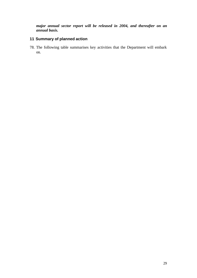*major annual sector report will be released in 2004, and thereafter on an annual basis.*

# **11 Summary of planned action**

78. The following table summarises key activities that the Department will embark on.